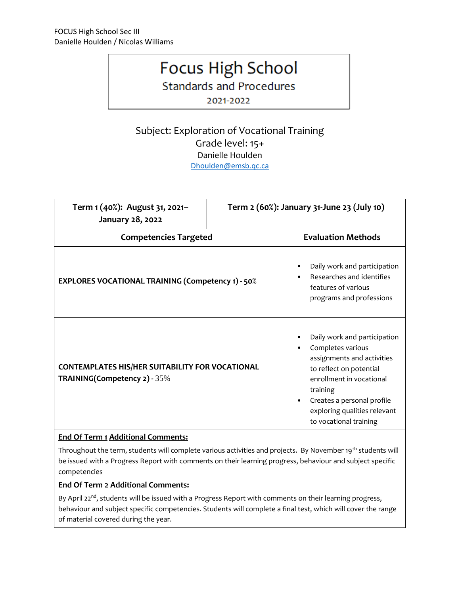# **Focus High School**

**Standards and Procedures** 

2021-2022

## Subject: Exploration of Vocational Training Grade level: 15+ Danielle Houlden [Dhoulden@emsb.qc.ca](mailto:Nwilliams@emsb.qc.ca)

| Term 1 (40%): August 31, 2021-<br>January 28, 2022                                     | Term 2 (60%): January 31-June 23 (July 10) |                                                                                                                                                                                                                                            |
|----------------------------------------------------------------------------------------|--------------------------------------------|--------------------------------------------------------------------------------------------------------------------------------------------------------------------------------------------------------------------------------------------|
| <b>Competencies Targeted</b>                                                           |                                            | <b>Evaluation Methods</b>                                                                                                                                                                                                                  |
| <b>EXPLORES VOCATIONAL TRAINING (Competency 1) - 50%</b>                               |                                            | Daily work and participation<br>Researches and identifies<br>features of various<br>programs and professions                                                                                                                               |
| <b>CONTEMPLATES HIS/HER SUITABILITY FOR VOCATIONAL</b><br>TRAINING(Competency 2) - 35% |                                            | Daily work and participation<br>Completes various<br>assignments and activities<br>to reflect on potential<br>enrollment in vocational<br>training<br>Creates a personal profile<br>exploring qualities relevant<br>to vocational training |

### **End Of Term 1 Additional Comments:**

Throughout the term, students will complete various activities and projects. By November 19<sup>th</sup> students will be issued with a Progress Report with comments on their learning progress, behaviour and subject specific competencies

#### **End Of Term 2 Additional Comments:**

By April  $22^{nd}$ , students will be issued with a Progress Report with comments on their learning progress, behaviour and subject specific competencies. Students will complete a final test, which will cover the range of material covered during the year.